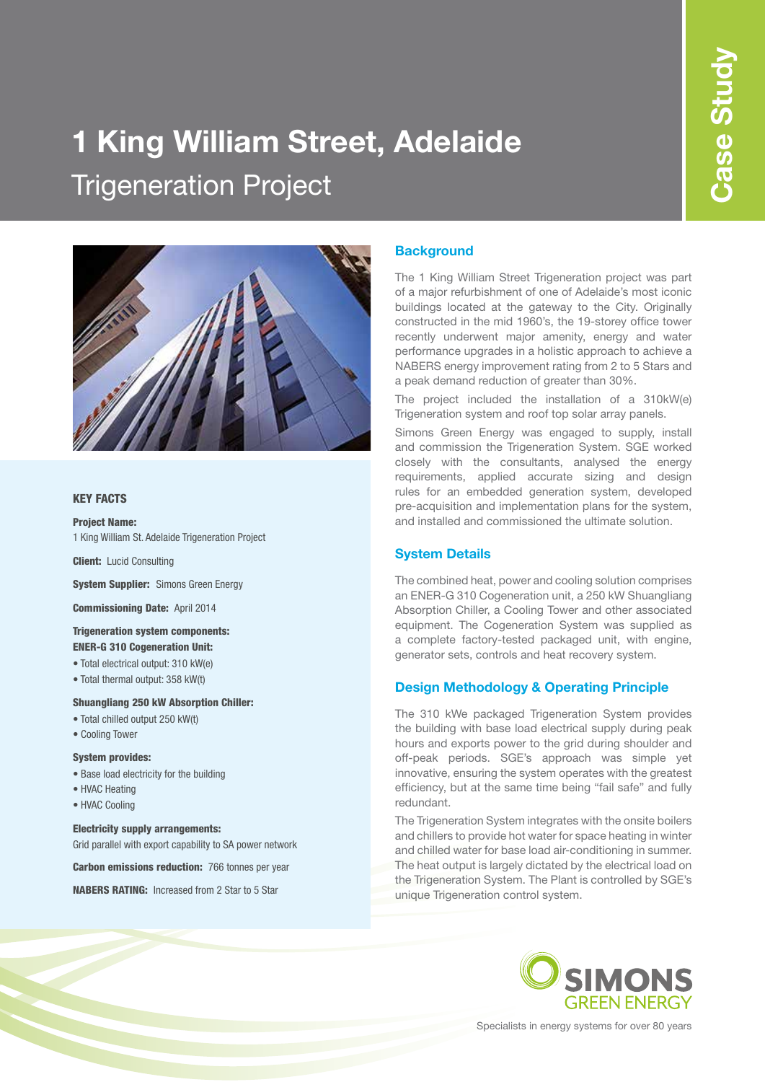# **1 King William Street, Adelaide** Trigeneration Project



#### KEY FACTS

### Project Name:

1 King William St. Adelaide Trigeneration Project

Client: Lucid Consulting

**System Supplier: Simons Green Energy** 

Commissioning Date: April 2014

#### Trigeneration system components: ENER-G 310 Cogeneration Unit:

- Total electrical output: 310 kW(e)
- Total thermal output: 358 kW(t)

#### Shuangliang 250 kW Absorption Chiller:

- Total chilled output 250 kW(t)
- Cooling Tower

#### System provides:

- Base load electricity for the building
- HVAC Heating
- HVAC Cooling

#### Electricity supply arrangements:

Grid parallel with export capability to SA power network

Carbon emissions reduction: 766 tonnes per year

NABERS RATING: Increased from 2 Star to 5 Star

#### **Background**

The 1 King William Street Trigeneration project was part of a major refurbishment of one of Adelaide's most iconic buildings located at the gateway to the City. Originally constructed in the mid 1960's, the 19-storey office tower recently underwent major amenity, energy and water performance upgrades in a holistic approach to achieve a NABERS energy improvement rating from 2 to 5 Stars and a peak demand reduction of greater than 30%.

The project included the installation of a 310kW(e) Trigeneration system and roof top solar array panels.

Simons Green Energy was engaged to supply, install and commission the Trigeneration System. SGE worked closely with the consultants, analysed the energy requirements, applied accurate sizing and design rules for an embedded generation system, developed pre-acquisition and implementation plans for the system, and installed and commissioned the ultimate solution.

#### **System Details**

The combined heat, power and cooling solution comprises an ENER-G 310 Cogeneration unit, a 250 kW Shuangliang Absorption Chiller, a Cooling Tower and other associated equipment. The Cogeneration System was supplied as a complete factory-tested packaged unit, with engine, generator sets, controls and heat recovery system.

#### **Design Methodology & Operating Principle**

The 310 kWe packaged Trigeneration System provides the building with base load electrical supply during peak hours and exports power to the grid during shoulder and off-peak periods. SGE's approach was simple yet innovative, ensuring the system operates with the greatest efficiency, but at the same time being "fail safe" and fully redundant.

The Trigeneration System integrates with the onsite boilers and chillers to provide hot water for space heating in winter and chilled water for base load air-conditioning in summer. The heat output is largely dictated by the electrical load on the Trigeneration System. The Plant is controlled by SGE's unique Trigeneration control system.



Specialists in energy systems for over 80 years